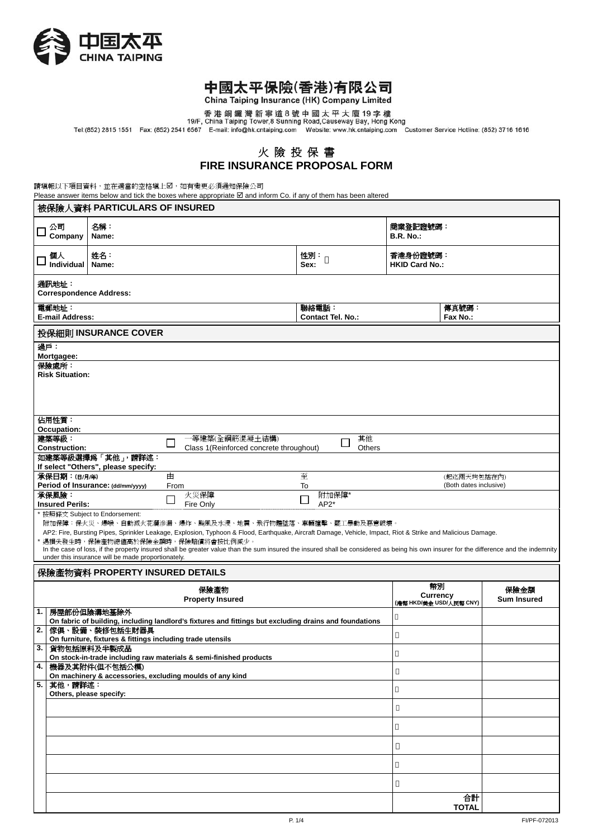

# 中國太平保險(香港)有限公司

China Taiping Insurance (HK) Company Limited

香港銅鑼灣新寧道8號中國太平大廈19字樓<br>19/F, China Taiping Tower,8 Sunning Road,Causeway Bay, Hong Kong<br>Tel:(852) 2815 1551 Fax: (852) 2541 6567 E-mail: info@hk.cntaiping.com Website: www.hk.cntaiping.com Customer Service Hotline: (852) 37

火 險 投 保 書

## **FIRE INSURANCE PROPOSAL FORM**

請填報以下項目資料,並在適當的空格填上2,如有變更必須通知保險公司

Please answer items below and tick the boxes where appropriate  $\boxtimes$  and inform Co. if any of them has been altered

|        |                                                                                                                          | 被保險人資料 PARTICULARS OF INSURED                      |                                                                                                                                                                                                                                                                                                                                                                                                                                                         |                                   |                                                  |                                       |                            |  |  |
|--------|--------------------------------------------------------------------------------------------------------------------------|----------------------------------------------------|---------------------------------------------------------------------------------------------------------------------------------------------------------------------------------------------------------------------------------------------------------------------------------------------------------------------------------------------------------------------------------------------------------------------------------------------------------|-----------------------------------|--------------------------------------------------|---------------------------------------|----------------------------|--|--|
| □      | 公司<br>Company                                                                                                            | 名稱:<br>Name:                                       |                                                                                                                                                                                                                                                                                                                                                                                                                                                         |                                   | 商業登記證號碼:<br><b>B.R. No.:</b>                     |                                       |                            |  |  |
| $\Box$ | 個人<br>Individual                                                                                                         | 姓名:<br>Name:                                       |                                                                                                                                                                                                                                                                                                                                                                                                                                                         | 性別:<br>Sex:                       | 香港身份證號碼:<br><b>HKID Card No.:</b>                |                                       |                            |  |  |
|        | 通訊地址:                                                                                                                    | <b>Correspondence Address:</b>                     |                                                                                                                                                                                                                                                                                                                                                                                                                                                         |                                   |                                                  |                                       |                            |  |  |
|        | 電郵地址:<br><b>E-mail Address:</b>                                                                                          |                                                    |                                                                                                                                                                                                                                                                                                                                                                                                                                                         | 聯絡電話:<br><b>Contact Tel. No.:</b> |                                                  | 傳真號碼:<br>Fax No.:                     |                            |  |  |
|        |                                                                                                                          | 投保細則 INSURANCE COVER                               |                                                                                                                                                                                                                                                                                                                                                                                                                                                         |                                   |                                                  |                                       |                            |  |  |
| 過戶:    | Mortgagee:                                                                                                               |                                                    |                                                                                                                                                                                                                                                                                                                                                                                                                                                         |                                   |                                                  |                                       |                            |  |  |
|        | 保險處所:<br><b>Risk Situation:</b>                                                                                          |                                                    |                                                                                                                                                                                                                                                                                                                                                                                                                                                         |                                   |                                                  |                                       |                            |  |  |
|        |                                                                                                                          |                                                    |                                                                                                                                                                                                                                                                                                                                                                                                                                                         |                                   |                                                  |                                       |                            |  |  |
|        |                                                                                                                          |                                                    |                                                                                                                                                                                                                                                                                                                                                                                                                                                         |                                   |                                                  |                                       |                            |  |  |
|        | 佔用性質:                                                                                                                    |                                                    |                                                                                                                                                                                                                                                                                                                                                                                                                                                         |                                   |                                                  |                                       |                            |  |  |
|        | Occupation:<br>建築等級:                                                                                                     |                                                    | 一等建築(全鋼筋混凝土結構)<br>□                                                                                                                                                                                                                                                                                                                                                                                                                                     | 其他<br>□                           |                                                  |                                       |                            |  |  |
|        | <b>Construction:</b>                                                                                                     | 如建築等級選擇為「其他」,請詳述:                                  | Class 1(Reinforced concrete throughout)                                                                                                                                                                                                                                                                                                                                                                                                                 | Others                            |                                                  |                                       |                            |  |  |
|        | 承保日期:(日/月/年)                                                                                                             | If select "Others", please specify:                | 由                                                                                                                                                                                                                                                                                                                                                                                                                                                       | 至                                 |                                                  |                                       |                            |  |  |
|        |                                                                                                                          | Period of Insurance: (dd/mm/yyyy)                  | From                                                                                                                                                                                                                                                                                                                                                                                                                                                    | To                                |                                                  | (起迄兩天均包括在內)<br>(Both dates inclusive) |                            |  |  |
|        | 承保風險:<br><b>Insured Perils:</b>                                                                                          |                                                    | 火災保障<br>Fire Only                                                                                                                                                                                                                                                                                                                                                                                                                                       | 附加保障*<br>$\Box$<br>$AP2*$         |                                                  |                                       |                            |  |  |
|        |                                                                                                                          | under this insurance will be made proportionately. | 附加保障:保火災、爆喉、自動滅火花灑滲漏、爆炸、颱風及水浸、地震、飛行物體墜落、車輛撞擊、罷工暴動及惡意破壞。<br>AP2: Fire, Bursting Pipes, Sprinkler Leakage, Explosion, Typhoon & Flood, Earthquake, Aircraft Damage, Vehicle, Impact, Riot & Strike and Malicious Damage.<br>* 遇損失發生時,保險產物總值高於保險金額時,保險賠償將會按比例減少。<br>In the case of loss, if the property insured shall be greater value than the sum insured the insured shall be considered as being his own insurer for the difference and the indemnity |                                   |                                                  |                                       |                            |  |  |
|        |                                                                                                                          | 保險產物資料 PROPERTY INSURED DETAILS                    |                                                                                                                                                                                                                                                                                                                                                                                                                                                         |                                   |                                                  |                                       |                            |  |  |
|        |                                                                                                                          |                                                    | 保險產物<br><b>Property Insured</b>                                                                                                                                                                                                                                                                                                                                                                                                                         |                                   | 幣別<br><b>Currency</b><br>(港幣 HKD/美金 USD/人民幣 CNY) |                                       | 保險金額<br><b>Sum Insured</b> |  |  |
| 1.     |                                                                                                                          | 房屋部份但陰溝地基除外                                        |                                                                                                                                                                                                                                                                                                                                                                                                                                                         |                                   |                                                  |                                       |                            |  |  |
| 2.     | On fabric of building, including landlord's fixtures and fittings but excluding drains and foundations<br>傢俱、設備、裝修包括生財器具 |                                                    |                                                                                                                                                                                                                                                                                                                                                                                                                                                         |                                   |                                                  |                                       |                            |  |  |
| 3. I   | On furniture, fixtures & fittings including trade utensils<br>貨物包括原料及半製成品                                                |                                                    |                                                                                                                                                                                                                                                                                                                                                                                                                                                         |                                   |                                                  |                                       |                            |  |  |
| 4.     | On stock-in-trade including raw materials & semi-finished products<br>機器及其附件(但不包括公模)                                     |                                                    |                                                                                                                                                                                                                                                                                                                                                                                                                                                         |                                   |                                                  |                                       |                            |  |  |
| 5.     | On machinery & accessories, excluding moulds of any kind<br>其他,請詳述:                                                      |                                                    |                                                                                                                                                                                                                                                                                                                                                                                                                                                         |                                   |                                                  |                                       |                            |  |  |
|        |                                                                                                                          | Others, please specify:                            |                                                                                                                                                                                                                                                                                                                                                                                                                                                         |                                   |                                                  |                                       |                            |  |  |
|        |                                                                                                                          |                                                    |                                                                                                                                                                                                                                                                                                                                                                                                                                                         |                                   |                                                  |                                       |                            |  |  |
|        |                                                                                                                          |                                                    |                                                                                                                                                                                                                                                                                                                                                                                                                                                         |                                   |                                                  |                                       |                            |  |  |
|        |                                                                                                                          |                                                    |                                                                                                                                                                                                                                                                                                                                                                                                                                                         |                                   |                                                  |                                       |                            |  |  |
|        |                                                                                                                          |                                                    |                                                                                                                                                                                                                                                                                                                                                                                                                                                         |                                   |                                                  |                                       |                            |  |  |
|        |                                                                                                                          |                                                    |                                                                                                                                                                                                                                                                                                                                                                                                                                                         |                                   |                                                  |                                       |                            |  |  |
|        |                                                                                                                          |                                                    |                                                                                                                                                                                                                                                                                                                                                                                                                                                         |                                   |                                                  |                                       |                            |  |  |
|        |                                                                                                                          |                                                    |                                                                                                                                                                                                                                                                                                                                                                                                                                                         |                                   |                                                  | 合計<br><b>TOTAL</b>                    |                            |  |  |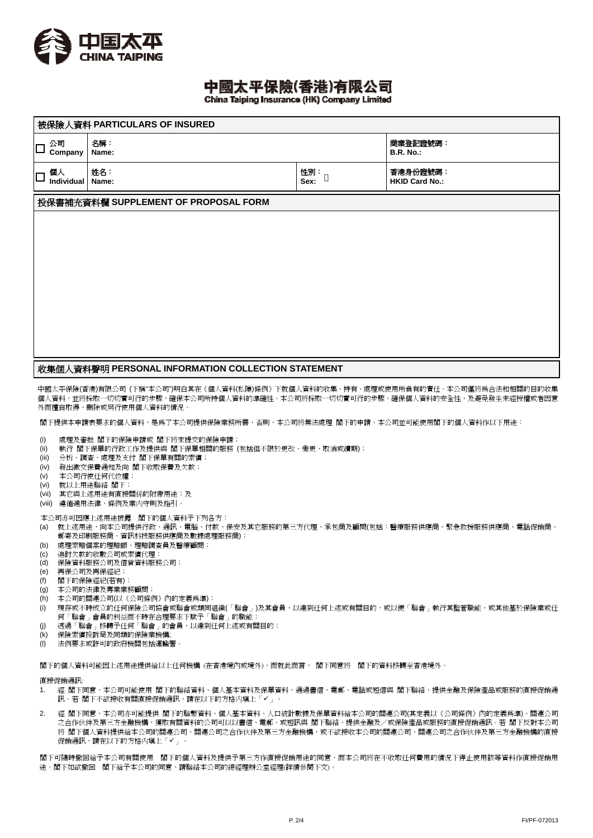

# 中國太平保險(香港)有限公司

China Taiping Insurance (HK) Company Limited

| 被保險人資料 PARTICULARS OF INSURED |                                      |                              |                                   |  |  |  |  |  |  |
|-------------------------------|--------------------------------------|------------------------------|-----------------------------------|--|--|--|--|--|--|
| 公司<br>问<br>Company            | 名稱:<br>Name:                         | 商業登記證號碼:<br><b>B.R. No.:</b> |                                   |  |  |  |  |  |  |
| 個人<br>IП<br>Individual        | 姓名:<br>Name:                         | 性別:<br>Sex:                  | 香港身份證號碼:<br><b>HKID Card No.:</b> |  |  |  |  |  |  |
|                               | 投保書補充資料欄 SUPPLEMENT OF PROPOSAL FORM |                              |                                   |  |  |  |  |  |  |
|                               |                                      |                              |                                   |  |  |  |  |  |  |
|                               |                                      |                              |                                   |  |  |  |  |  |  |
|                               |                                      |                              |                                   |  |  |  |  |  |  |
|                               |                                      |                              |                                   |  |  |  |  |  |  |
|                               |                                      |                              |                                   |  |  |  |  |  |  |
|                               |                                      |                              |                                   |  |  |  |  |  |  |
|                               |                                      |                              |                                   |  |  |  |  |  |  |

### 收集個人資料聲明 **PERSONAL INFORMATION COLLECTION STATEMENT**

中國太平保險(香港)有限公司 (下稱"本公司")明白其在《個人資料(私隱)條例》下就個人資料的收集、持有、處理或使用所負有的責任。本公司僅將為合法和相關的目的收集 個人資料,並將採取一切切實可行的步驟,確保本公司所持個人資料的準確性。本公司將採取一切切實可行的步驟,確保個人資料的安全性,及避免發生未經授權或者因意 外而擅自取得、刪除或另行使用個人資料的情況。

閣下提供本申請表要求的個人資料,是為了本公司提供保險業務所需,否則,本公司將無法處理 閣下的申請。本公司並可能使用閣下的個人資料作以下用途:

- (i) 處理及審批 閣下的保險申請或 閣下將來提交的保險申請;
- (ii) 執行 閣下保單的行政工作及提供與 閣下保單相關的服務 (包括但不限於更改、變更、取消或續期);
- (iii) 分析、調查、處理及支付 閣下保單有關的索償;
- (iv) 發出繳交保費通知及向 閣下收取保費及欠款;
- (v) 本公司行使任何代位權;
- (vi) 就以上用途聯絡 閣下;
- (vii) 其它與上述用途有直接關係的附帶用途;及
- (viii) 遵循適用法律,條例及業内守則及指引。

本公司亦可因應上述用途披露 閣下的個人資料予下列各方:

- (a) 就上述用途,向本公司提供行政、通訊、電腦、付款、保安及其它服務的第三方代理、承包商及顧問(包括:醫療服務供應商、緊急救援服務供應商、電話促銷商、 郵寄及印刷服務商、資訊科技服務供應商及數據處理服務商);
- (b) 處理索賠個案的理賠師、理賠調查員及醫療顧問;
- (c) 追討欠款的收數公司或索償代理;
- (d) 保險資料服務公司及信貸資料服務公司;
- (e) 再保公司及再保經紀;
- (f) 閣下的保險經紀(若有);
- 
- (g) 本公司的法律及專業業務顧問;
- (h) 本公司的關連公司(以《公司條例》內的定義為準);
- (i) 現存或不時成立的任何保險公司協會或聯會或類同組織(「聯會」)及其會員,以達到任何上述或有關目的,或以便「聯會」執行其監管職能,或其他基於保險業或任 何「聯會」會員的利益而不時在合理要求下賦予「聯會」的職能;
- (j) 透過「聯會」移轉予任何「聯會」的會員,以達到任何上述或有關目的;
- (k) 保險索償投訴局及同類的保險業機構;
- (l) 法例要求或許可的政府機關包括運輸署。

閣下的個人資料可能因上述用途提供給以上任何機構 (在香港境內或境外),而就此而言, 閣下同意將 閣下的資料移轉至香港境外。

#### 直接促銷通訊:

- 1. 經 閣下同意,本公司可能使用 閣下的聯絡資料、個人基本資料及保單資料,通過書信、電郵、電話或短信與 閣下聯絡,提供金融及保險產品或服務的直接促銷通 訊。若 閣下不欲接收有關直接促銷通訊,請在以下的方格内填上「✔」。
- 2. 經 閣下同意,本公司亦可能提供 閣下的聯繫資料、個人基本資料、人口統計數據及保單資料給本公司的關連公司(其定義以《公司條例》內的定義為準)、關連公司 之合作伙伴及第三方金融機構,獲取有關資料的公司可以以書信、電郵、或短訊與 閣下聯絡,提供金融及/或保險產品或服務的直接促銷通訊。若 閣下反對本公司 將 閣下個人資料提供給本公司的關連公司、關連公司之合作伙伴及第三方金融機構,或不欲接收本公司的關連公司、關連公司之合作伙伴及第三方金融機構的直接 促銷通訊,請在以下的方格内填上「✔」。

閣下可隨時撤回給予本公司有關使用 閣下的個人資料及提供予第三方作直接促銷用途的同意,而本公司將在不收取任何費用的情況下停止使用該等資料作直接促銷用 途。閣下如欲撤回 閣下給予本公司的同意,請聯絡本公司的總經理辦公室經理(詳情參閱下文)。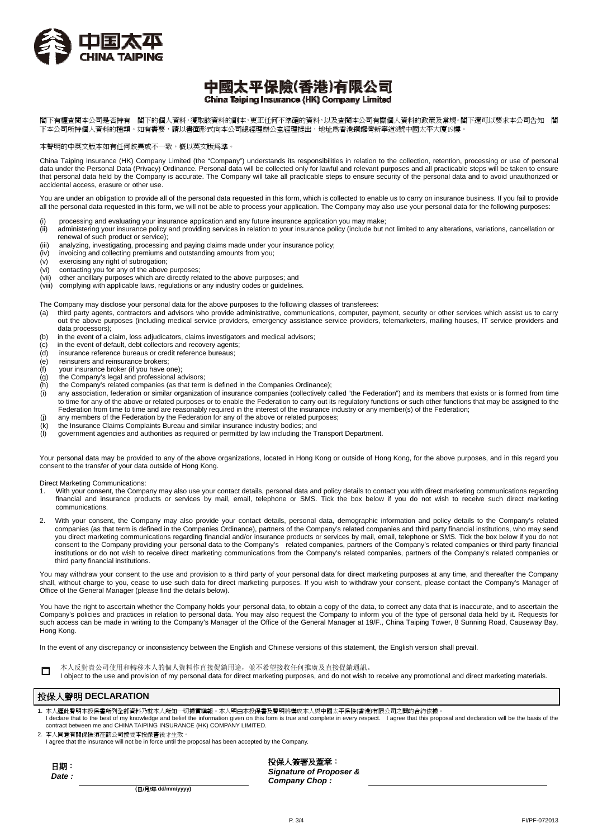

### 中國太平保險(香港)有限公司 China Taiping Insurance (HK) Company Limited

閣下有權查閱本公司是否持有 閣下的個人資料,獲取該資料的副本,更正任何不準確的資料,以及查閱本公司有關個人資料的政策及常規。閣下還可以要求本公司告知 閣 下本公司所持個人資料的種類。如有需要,請以書面形式向本公司總經理辦公室經理提出,地址爲香港銅鑼灣新寧道8號中國太平大廈19樓。

本聲明的中英文版本如有任何歧異或不一致,概以英文版為準。

China Taiping Insurance (HK) Company Limited (the "Company") understands its responsibilities in relation to the collection, retention, processing or use of personal data under the Personal Data (Privacy) Ordinance. Personal data will be collected only for lawful and relevant purposes and all practicable steps will be taken to ensure that personal data held by the Company is accurate. The Company will take all practicable steps to ensure security of the personal data and to avoid unauthorized or accidental access, erasure or other use.

You are under an obligation to provide all of the personal data requested in this form, which is collected to enable us to carry on insurance business. If you fail to provide all the personal data requested in this form, we will not be able to process your application. The Company may also use your personal data for the following purposes:

- 
- (i) processing and evaluating your insurance application and any future insurance application you may make;<br>(ii) administering your insurance policy and providing services in relation to your insurance policy (include but administering your insurance policy and providing services in relation to your insurance policy (include but not limited to any alterations, variations, cancellation or renewal of such product or service);
- (iii) analyzing, investigating, processing and paying claims made under your insurance policy;
- (iv) invoicing and collecting premiums and outstanding amounts from you;
- (v) exercising any right of subrogation;
- (vi) contacting you for any of the above purposes;
- (vii) other ancillary purposes which are directly related to the above purposes; and
- (viii) complying with applicable laws, regulations or any industry codes or guidelines.

The Company may disclose your personal data for the above purposes to the following classes of transferees:<br>(a) third party agents, contractors and advisors who provide administrative, communications, computer, pa

- third party agents, contractors and advisors who provide administrative, communications, computer, payment, security or other services which assist us to carry out the above purposes (including medical service providers, emergency assistance service providers, telemarketers, mailing houses, IT service providers and data processors);
- (b) in the event of a claim, loss adjudicators, claims investigators and medical advisors;
- $(c)$  in the event of default, debt collectors and recovery agents;
- (d) insurance reference bureaus or credit reference bureaus;
- (e) reinsurers and reinsurance brokers;
- $(f)$  your insurance broker (if you have one);
- $(q)$  the Company's legal and professional advisors;
- (h) the Company's related companies (as that term is defined in the Companies Ordinance);
- (i) any association, federation or similar organization of insurance companies (collectively called "the Federation") and its members that exists or is formed from time to time for any of the above or related purposes or to enable the Federation to carry out its regulatory functions or such other functions that may be assigned to the Federation from time to time and are reasonably required in the interest of the insurance industry or any member(s) of the Federation;
- (j) any members of the Federation by the Federation for any of the above or related purposes;
- (k) the Insurance Claims Complaints Bureau and similar insurance industry bodies; and (l) government agencies and authorities as required or permitted by law including the Transport Department.

Your personal data may be provided to any of the above organizations, located in Hong Kong or outside of Hong Kong, for the above purposes, and in this regard you consent to the transfer of your data outside of Hong Kong.

Direct Marketing Communications:

- With your consent, the Company may also use your contact details, personal data and policy details to contact you with direct marketing communications regarding financial and insurance products or services by mail, email, telephone or SMS. Tick the box below if you do not wish to receive such direct marketing communications.
- 2. With your consent, the Company may also provide your contact details, personal data, demographic information and policy details to the Company's related companies (as that term is defined in the Companies Ordinance), partners of the Company's related companies and third party financial institutions, who may send you direct marketing communications regarding financial and/or insurance products or services by mail, email, telephone or SMS. Tick the box below if you do not consent to the Company providing your personal data to the Company's related companies, partners of the Company's related companies or third party financial institutions or do not wish to receive direct marketing communications from the Company's related companies, partners of the Company's related companies or third party financial institutions.

You may withdraw your consent to the use and provision to a third party of your personal data for direct marketing purposes at any time, and thereafter the Company shall, without charge to you, cease to use such data for direct marketing purposes. If you wish to withdraw your consent, please contact the Company's Manager of Office of the General Manager (please find the details below).

You have the right to ascertain whether the Company holds your personal data, to obtain a copy of the data, to correct any data that is inaccurate, and to ascertain the Company's policies and practices in relation to personal data. You may also request the Company to inform you of the type of personal data held by it. Requests for such access can be made in writing to the Company's Manager of the Office of the General Manager at 19/F., China Taiping Tower, 8 Sunning Road, Causeway Bay, Hong Kong.

In the event of any discrepancy or inconsistency between the English and Chinese versions of this statement, the English version shall prevail.

| $\Box$ | 本人反對貴公司使用和轉移本人的個人資料作]                             |
|--------|---------------------------------------------------|
|        | $l$ object to the use and provision of my person. |

■ 本人反對貴公司使用和轉移本人的個人資料作直接促銷用途,並不希望接收任何推廣及直接促銷通訊。<br>Ⅰ object to the use and provision of my personal data for direct marketing purposes, and do not wish to receive any promotional and direct marketing materials.

### 投保人聲明 **DECLARATION**

1. 本人謹此聲明本投保書所列全部資料乃就本人所知一切據實填報。本人明白本投保書及聲明將構成本人與中國太平保險(香港)有限公司之間的合約依據。 l declare that to the best of my knowledge and belief the information given on this form is true and complete in every respect. I agree that this proposal and declaration will be the basis of the<br>contract between me and CH

2. 本人同意有關保險須在該公司接受本投保書後才生效。

I agree that the insurance will not be in force until the proposal has been accepted by the Company.

日期: *Date :*

投保人簽署及蓋章: *Signature of Proposer & Company Chop :* 

**(**日/月/年 **dd/mm/yyyy)**